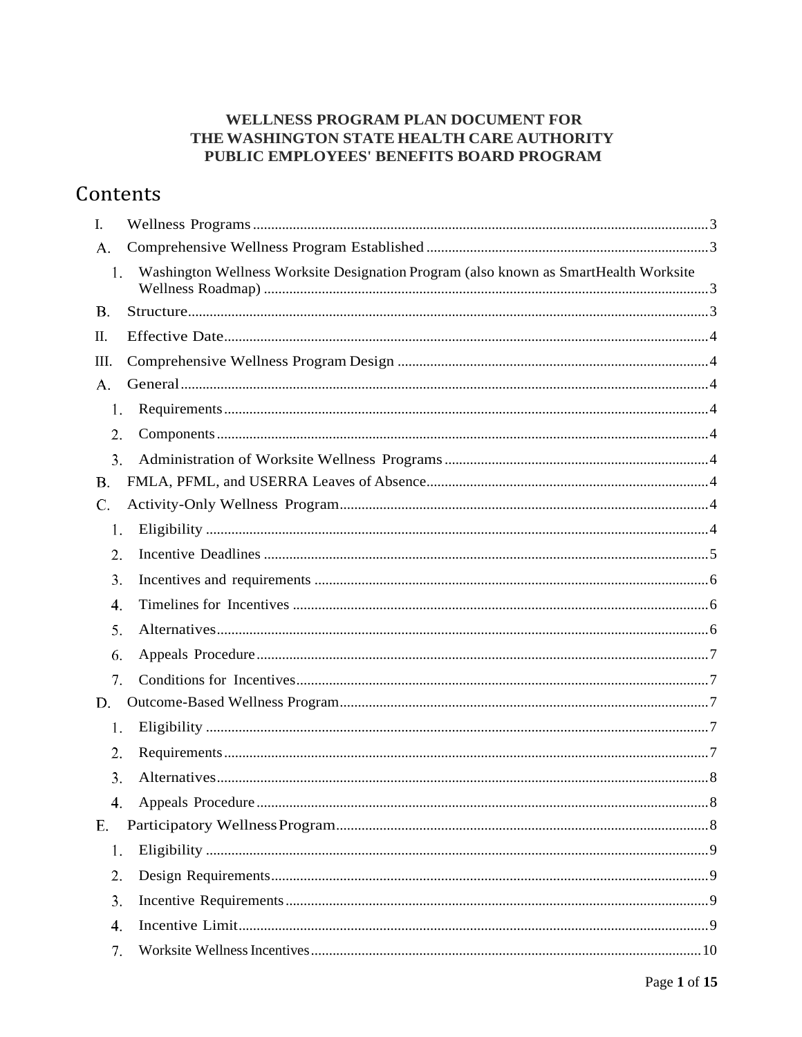### WELLNESS PROGRAM PLAN DOCUMENT FOR THE WASHINGTON STATE HEALTH CARE AUTHORITY PUBLIC EMPLOYEES' BENEFITS BOARD PROGRAM

# Contents

| I.        |                                                                                      |  |
|-----------|--------------------------------------------------------------------------------------|--|
| A.        |                                                                                      |  |
| 1.        | Washington Wellness Worksite Designation Program (also known as SmartHealth Worksite |  |
| <b>B.</b> |                                                                                      |  |
| Π.        |                                                                                      |  |
| III.      |                                                                                      |  |
| A.        |                                                                                      |  |
| 1.        |                                                                                      |  |
| 2.        |                                                                                      |  |
| 3.        |                                                                                      |  |
| <b>B.</b> |                                                                                      |  |
| C.        |                                                                                      |  |
| 1.        |                                                                                      |  |
| 2.        |                                                                                      |  |
| 3.        |                                                                                      |  |
| 4.        |                                                                                      |  |
| 5.        |                                                                                      |  |
| 6.        |                                                                                      |  |
| 7.        |                                                                                      |  |
| D.        |                                                                                      |  |
| 1.        |                                                                                      |  |
| 2.        |                                                                                      |  |
| 3.        |                                                                                      |  |
| 4.        |                                                                                      |  |
| Ε.        |                                                                                      |  |
| 1.        |                                                                                      |  |
| 2.        |                                                                                      |  |
| 3.        |                                                                                      |  |
| 4.        |                                                                                      |  |
| 7.        |                                                                                      |  |
|           |                                                                                      |  |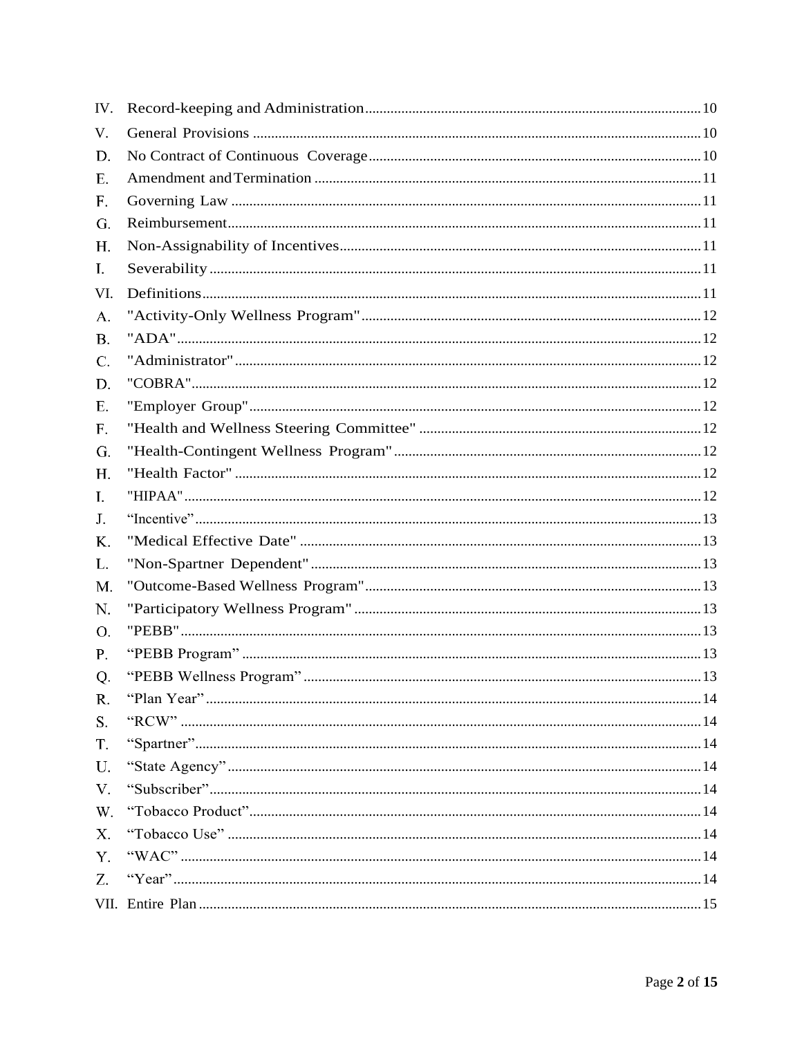<span id="page-1-0"></span>

| IV.         |  |
|-------------|--|
| V.          |  |
| D.          |  |
| Ε.          |  |
| $F_{\star}$ |  |
| G.          |  |
| H.          |  |
| I.          |  |
| VI.         |  |
| A.          |  |
| <b>B.</b>   |  |
| C.          |  |
| D.          |  |
| Ε.          |  |
| F.          |  |
| G.          |  |
| H.          |  |
| I.          |  |
| J.          |  |
| Κ.          |  |
| L.          |  |
| M.          |  |
| N.          |  |
| O.          |  |
| P.          |  |
| Q.          |  |
| R.          |  |
| S.          |  |
| T.          |  |
| U.          |  |
| $V_{\cdot}$ |  |
| W.          |  |
| X.          |  |
| Y.          |  |
| Z.          |  |
|             |  |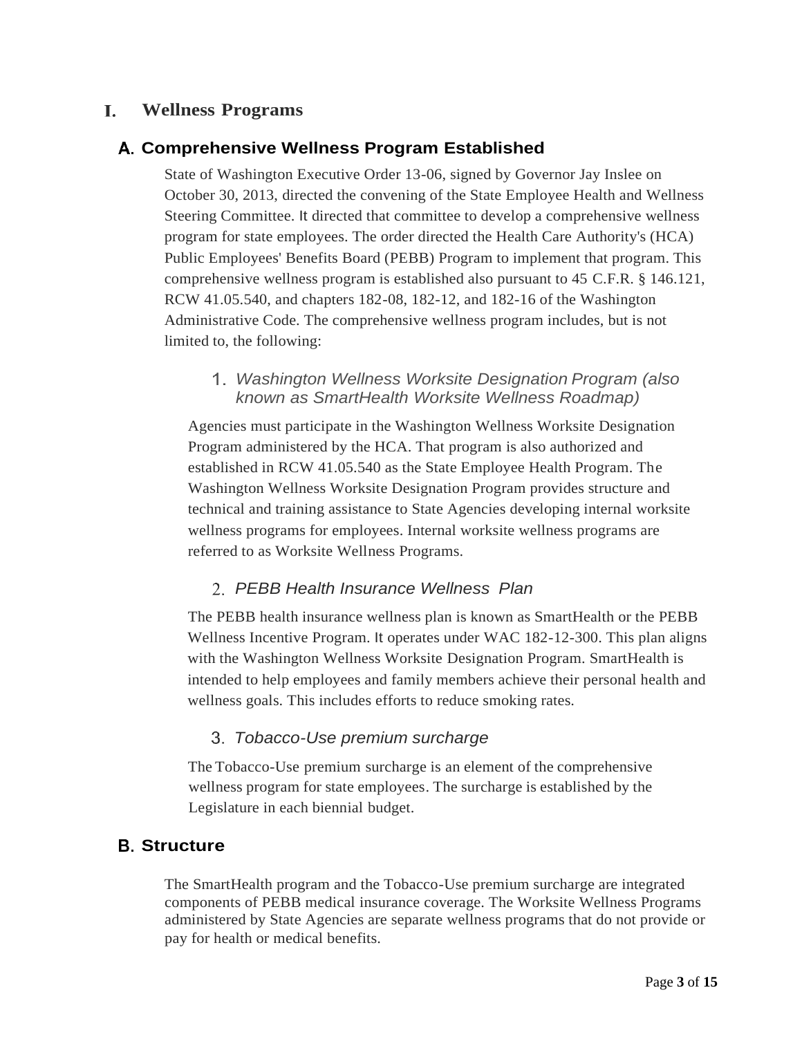#### L. **Wellness Programs**

### <span id="page-2-0"></span>**Comprehensive Wellness Program Established**

State of Washington Executive Order 13-06, signed by Governor Jay Inslee on October 30, 2013, directed the convening of the State Employee Health and Wellness Steering Committee. It directed that committee to develop a comprehensive wellness program for state employees. The order directed the Health Care Authority's (HCA) Public Employees' Benefits Board (PEBB) Program to implement that program. This comprehensive wellness program is established also pursuant to 45 C.F.R. § 146.121, RCW 41.05.540, and chapters 182-08, 182-12, and 182-16 of the Washington Administrative Code. The comprehensive wellness program includes, but is not limited to, the following:

#### *Washington Wellness Worksite Designation Program (also known as SmartHealth Worksite Wellness Roadmap)*

<span id="page-2-1"></span>Agencies must participate in the Washington Wellness Worksite Designation Program administered by the HCA. That program is also authorized and established in RCW 41.05.540 as the State Employee Health Program. The Washington Wellness Worksite Designation Program provides structure and technical and training assistance to State Agencies developing internal worksite wellness programs for employees. Internal worksite wellness programs are referred to as Worksite Wellness Programs.

#### *PEBB Health Insurance Wellness Plan*

The PEBB health insurance wellness plan is known as SmartHealth or the PEBB Wellness Incentive Program. It operates under WAC 182-12-300. This plan aligns with the Washington Wellness Worksite Designation Program. SmartHealth is intended to help employees and family members achieve their personal health and wellness goals. This includes efforts to reduce smoking rates.

### *Tobacco-Use premium surcharge*

The Tobacco-Use premium surcharge is an element of the comprehensive wellness program for state employees. The surcharge is established by the Legislature in each biennial budget.

### <span id="page-2-2"></span>**Structure**

The SmartHealth program and the Tobacco-Use premium surcharge are integrated components of PEBB medical insurance coverage. The Worksite Wellness Programs administered by State Agencies are separate wellness programs that do not provide or pay for health or medical benefits.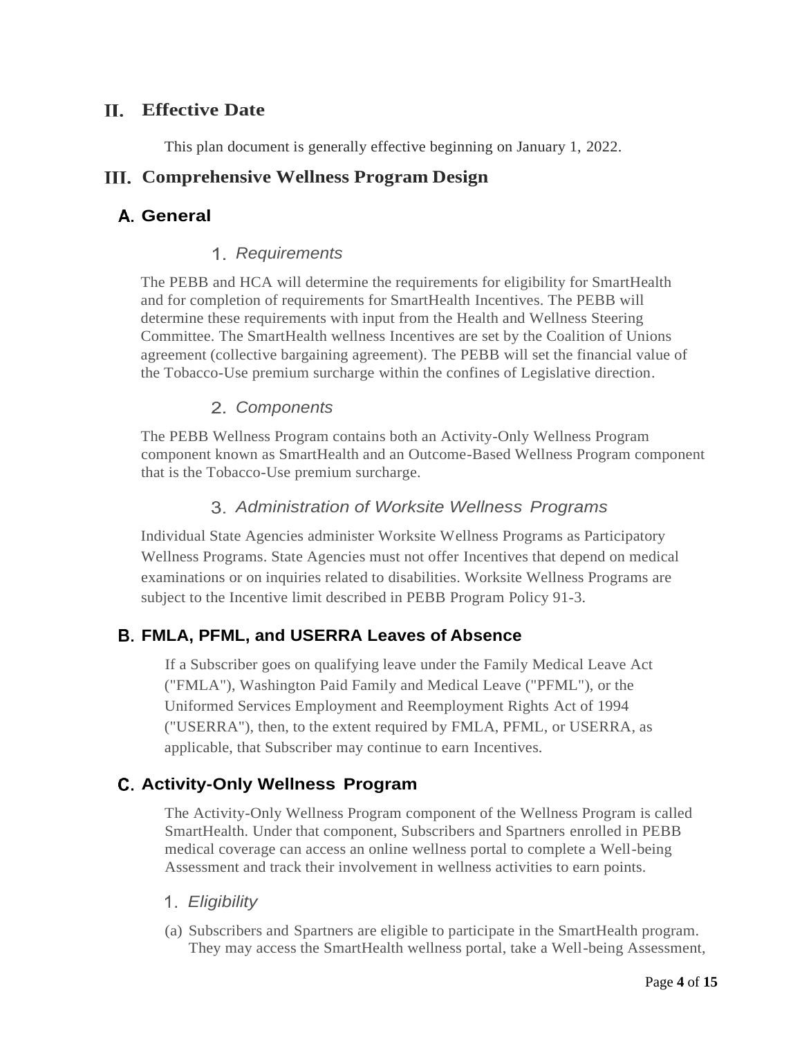### <span id="page-3-0"></span>**Effective Date**

This plan document is generally effective beginning on January 1, 2022.

### <span id="page-3-1"></span>**Comprehensive Wellness Program Design**

### <span id="page-3-3"></span><span id="page-3-2"></span>**General**

### *Requirements*

The PEBB and HCA will determine the requirements for eligibility for SmartHealth and for completion of requirements for SmartHealth Incentives. The PEBB will determine these requirements with input from the Health and Wellness Steering Committee. The SmartHealth wellness Incentives are set by the Coalition of Unions agreement (collective bargaining agreement). The PEBB will set the financial value of the Tobacco-Use premium surcharge within the confines of Legislative direction.

### *Components*

<span id="page-3-4"></span>The PEBB Wellness Program contains both an Activity-Only Wellness Program component known as SmartHealth and an Outcome-Based Wellness Program component that is the Tobacco-Use premium surcharge.

### *Administration of Worksite Wellness Programs*

<span id="page-3-5"></span>Individual State Agencies administer Worksite Wellness Programs as Participatory Wellness Programs. State Agencies must not offer Incentives that depend on medical examinations or on inquiries related to disabilities. Worksite Wellness Programs are subject to the Incentive limit described in PEBB Program Policy 91-3.

### <span id="page-3-6"></span>**FMLA, PFML, and USERRA Leaves of Absence**

If a Subscriber goes on qualifying leave under the Family Medical Leave Act ("FMLA"), Washington Paid Family and Medical Leave ("PFML"), or the Uniformed Services Employment and Reemployment Rights Act of 1994 ("USERRA"), then, to the extent required by FMLA, PFML, or USERRA, as applicable, that Subscriber may continue to earn Incentives.

### <span id="page-3-7"></span>**Activity-Only Wellness Program**

The Activity-Only Wellness Program component of the Wellness Program is called SmartHealth. Under that component, Subscribers and Spartners enrolled in PEBB medical coverage can access an online wellness portal to complete a Well-being Assessment and track their involvement in wellness activities to earn points.

#### <span id="page-3-8"></span>*Eligibility*

(a) Subscribers and Spartners are eligible to participate in the SmartHealth program. They may access the SmartHealth wellness portal, take a Well-being Assessment,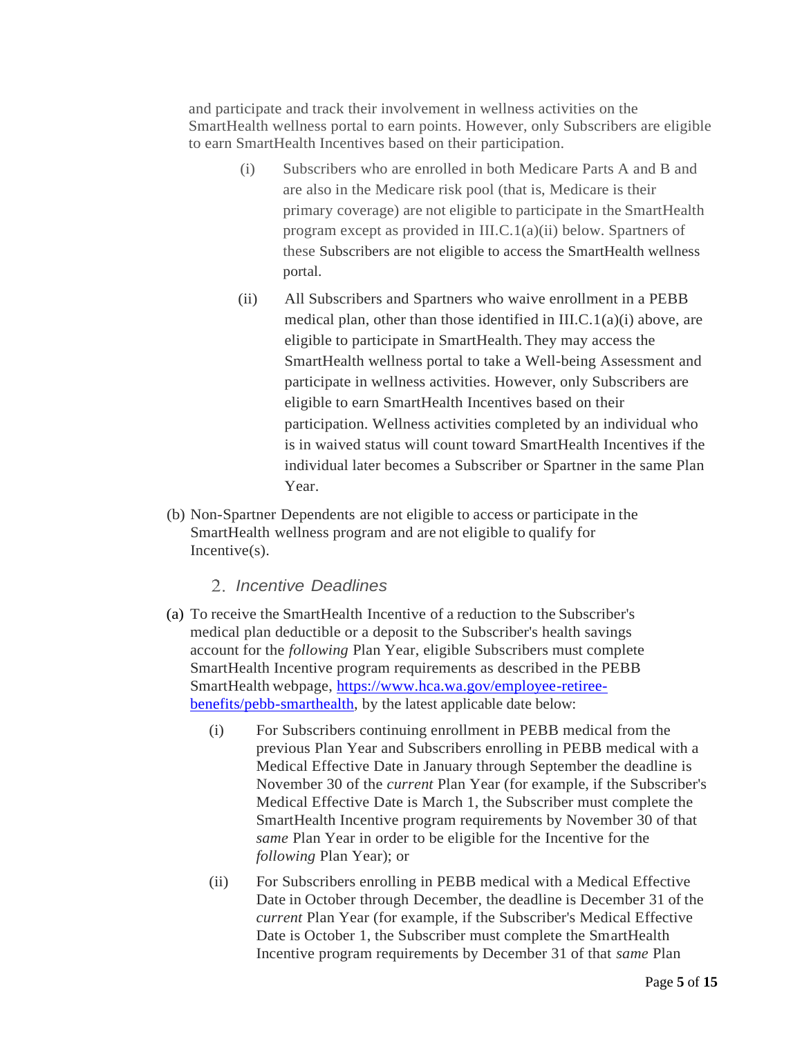and participate and track their involvement in wellness activities on the SmartHealth wellness portal to earn points. However, only Subscribers are eligible to earn SmartHealth Incentives based on their participation.

- (i) Subscribers who are enrolled in both Medicare Parts A and B and are also in the Medicare risk pool (that is, Medicare is their primary coverage) are not eligible to participate in the SmartHealth program except as provided in III.C.1(a)(ii) below. Spartners of these Subscribers are not eligible to access the SmartHealth wellness portal.
- (ii) All Subscribers and Spartners who waive enrollment in a PEBB medical plan, other than those identified in III.C.1(a)(i) above, are eligible to participate in SmartHealth.They may access the SmartHealth wellness portal to take a Well-being Assessment and participate in wellness activities. However, only Subscribers are eligible to earn SmartHealth Incentives based on their participation. Wellness activities completed by an individual who is in waived status will count toward SmartHealth Incentives if the individual later becomes a Subscriber or Spartner in the same Plan Year.
- (b) Non-Spartner Dependents are not eligible to access or participate in the SmartHealth wellness program and are not eligible to qualify for Incentive(s).

#### *Incentive Deadlines*

- <span id="page-4-0"></span>(a) To receive the SmartHealth Incentive of a reduction to the Subscriber's medical plan deductible or a deposit to the Subscriber's health savings account for the *following* Plan Year, eligible Subscribers must complete SmartHealth Incentive program requirements as described in the PEBB SmartHealth webpage, [https://www.hca.wa.gov/employee-retiree](https://www.hca.wa.gov/employee-retiree-benefits/pebb-smarthealth)[benefits/pebb-smarthealth,](https://www.hca.wa.gov/employee-retiree-benefits/pebb-smarthealth) by the latest applicable date below:
	- (i) For Subscribers continuing enrollment in PEBB medical from the previous Plan Year and Subscribers enrolling in PEBB medical with a Medical Effective Date in January through September the deadline is November 30 of the *current* Plan Year (for example, if the Subscriber's Medical Effective Date is March 1, the Subscriber must complete the SmartHealth Incentive program requirements by November 30 of that *same* Plan Year in order to be eligible for the Incentive for the *following* Plan Year); or
	- (ii) For Subscribers enrolling in PEBB medical with a Medical Effective Date in October through December, the deadline is December 31 of the *current* Plan Year (for example, if the Subscriber's Medical Effective Date is October 1, the Subscriber must complete the SmartHealth Incentive program requirements by December 31 of that *same* Plan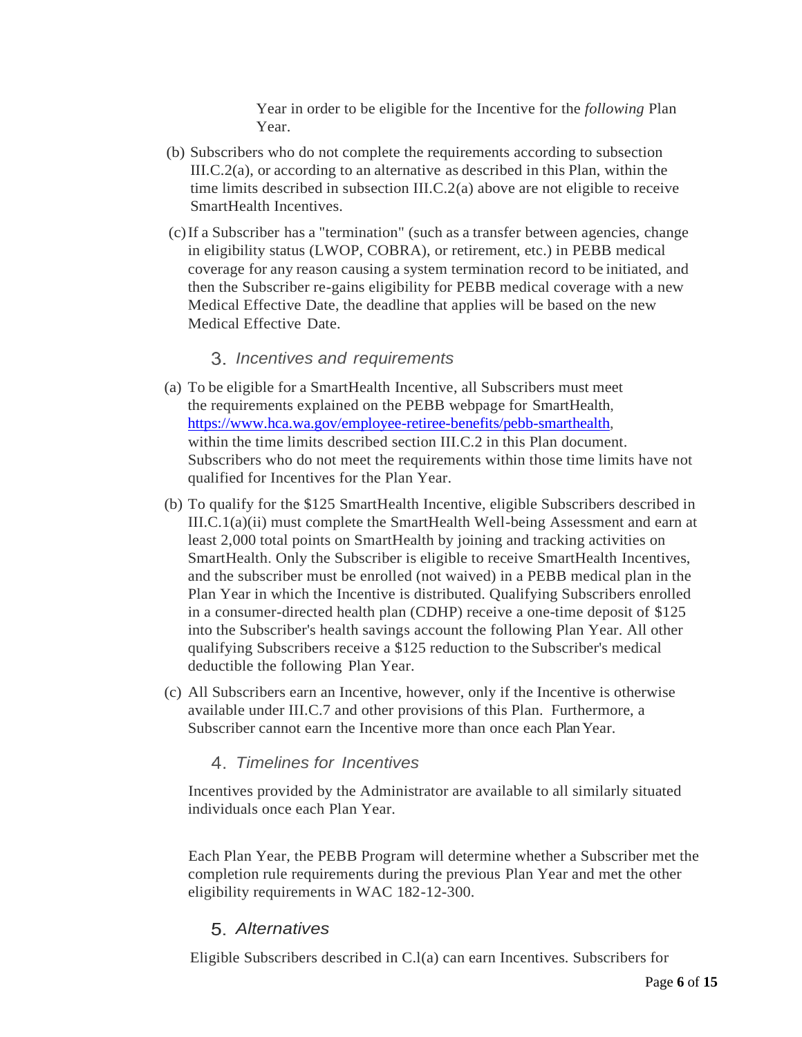Year in order to be eligible for the Incentive for the *following* Plan Year.

- (b) Subscribers who do not complete the requirements according to subsection III.C.2(a), or according to an alternative as described in this Plan, within the time limits described in subsection III.C.2(a) above are not eligible to receive SmartHealth Incentives.
- (c)If a Subscriber has a "termination" (such as a transfer between agencies, change in eligibility status (LWOP, COBRA), or retirement, etc.) in PEBB medical coverage for any reason causing a system termination record to be initiated, and then the Subscriber re-gains eligibility for PEBB medical coverage with a new Medical Effective Date, the deadline that applies will be based on the new Medical Effective Date.

#### *Incentives and requirements*

- <span id="page-5-0"></span>(a) To be eligible for a SmartHealth Incentive, all Subscribers must meet the requirements explained on the PEBB webpage for SmartHealth, [https://www.hca.wa.gov/employee-retiree-benefits/pebb-smarthealth,](https://www.hca.wa.gov/employee-retiree-benefits/pebb-smarthealth) within the time limits described section III.C.2 in this Plan document. Subscribers who do not meet the requirements within those time limits have not qualified for Incentives for the Plan Year.
- (b) To qualify for the \$125 SmartHealth Incentive, eligible Subscribers described in III.C.1(a)(ii) must complete the SmartHealth Well-being Assessment and earn at least 2,000 total points on SmartHealth by joining and tracking activities on SmartHealth. Only the Subscriber is eligible to receive SmartHealth Incentives, and the subscriber must be enrolled (not waived) in a PEBB medical plan in the Plan Year in which the Incentive is distributed. Qualifying Subscribers enrolled in a consumer-directed health plan (CDHP) receive a one-time deposit of \$125 into the Subscriber's health savings account the following Plan Year. All other qualifying Subscribers receive a \$125 reduction to the Subscriber's medical deductible the following Plan Year.
- <span id="page-5-1"></span>(c) All Subscribers earn an Incentive, however, only if the Incentive is otherwise available under III.C.7 and other provisions of this Plan. Furthermore, a Subscriber cannot earn the Incentive more than once each Plan Year.

#### *Timelines for Incentives*

Incentives provided by the Administrator are available to all similarly situated individuals once each Plan Year.

Each Plan Year, the PEBB Program will determine whether a Subscriber met the completion rule requirements during the previous Plan Year and met the other eligibility requirements in WAC 182-12-300.

#### *Alternatives*

<span id="page-5-2"></span>Eligible Subscribers described in C.l(a) can earn Incentives. Subscribers for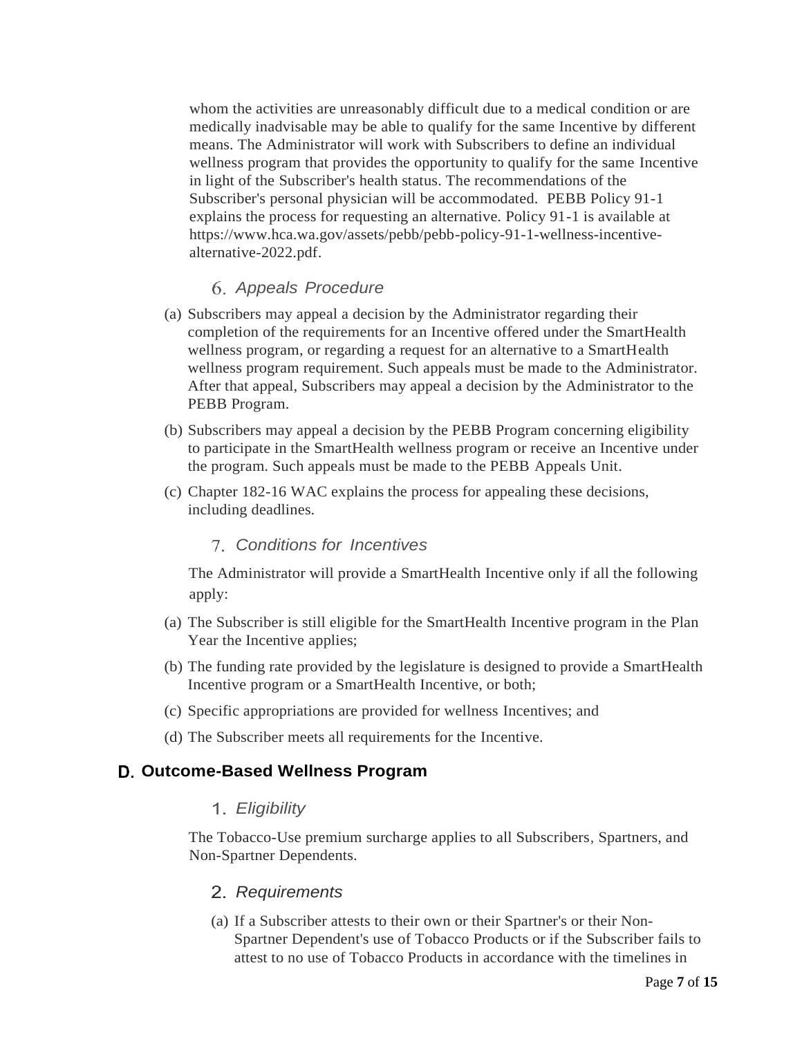whom the activities are unreasonably difficult due to a medical condition or are medically inadvisable may be able to qualify for the same Incentive by different means. The Administrator will work with Subscribers to define an individual wellness program that provides the opportunity to qualify for the same Incentive in light of the Subscriber's health status. The recommendations of the Subscriber's personal physician will be accommodated. PEBB Policy 91-1 explains the process for requesting an alternative. Policy 91-1 is available at https://www.hca.wa.gov/assets/pebb/pebb-policy-91-1-wellness-incentivealternative-2022.pdf.

#### *Appeals Procedure*

- <span id="page-6-0"></span>(a) Subscribers may appeal a decision by the Administrator regarding their completion of the requirements for an Incentive offered under the SmartHealth wellness program, or regarding a request for an alternative to a SmartHealth wellness program requirement. Such appeals must be made to the Administrator. After that appeal, Subscribers may appeal a decision by the Administrator to the PEBB Program.
- (b) Subscribers may appeal a decision by the PEBB Program concerning eligibility to participate in the SmartHealth wellness program or receive an Incentive under the program. Such appeals must be made to the PEBB Appeals Unit.
- <span id="page-6-1"></span>(c) Chapter 182-16 WAC explains the process for appealing these decisions, including deadlines.

#### *Conditions for Incentives*

The Administrator will provide a SmartHealth Incentive only if all the following apply:

- (a) The Subscriber is still eligible for the SmartHealth Incentive program in the Plan Year the Incentive applies;
- (b) The funding rate provided by the legislature is designed to provide a SmartHealth Incentive program or a SmartHealth Incentive, or both;
- (c) Specific appropriations are provided for wellness Incentives; and
- (d) The Subscriber meets all requirements for the Incentive.

#### <span id="page-6-3"></span><span id="page-6-2"></span>**Outcome-Based Wellness Program**

#### *Eligibility*

<span id="page-6-4"></span>The Tobacco-Use premium surcharge applies to all Subscribers, Spartners, and Non-Spartner Dependents.

#### *Requirements*

(a) If a Subscriber attests to their own or their Spartner's or their Non-Spartner Dependent's use of Tobacco Products or if the Subscriber fails to attest to no use of Tobacco Products in accordance with the timelines in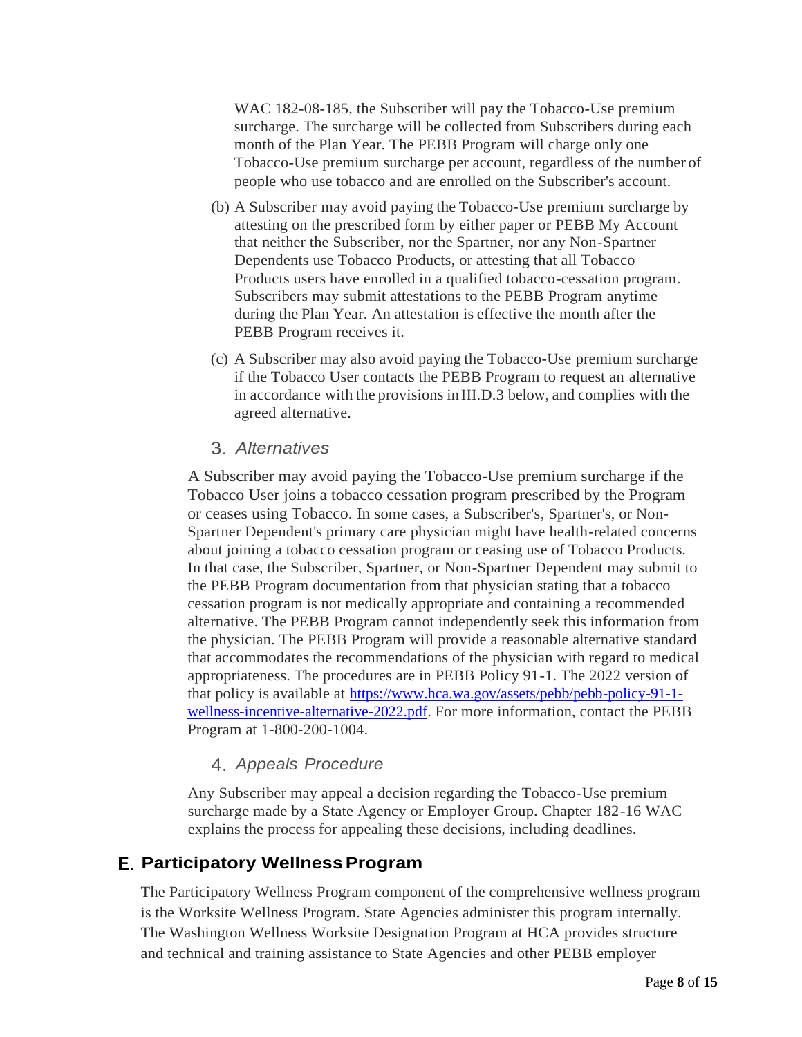WAC 182-08-185, the Subscriber will pay the Tobacco-Use premium surcharge. The surcharge will be collected from Subscribers during each month of the Plan Year. The PEBB Program will charge only one Tobacco-Use premium surcharge per account, regardless of the number of people who use tobacco and are enrolled on the Subscriber's account.

- (b) A Subscriber may avoid paying the Tobacco-Use premium surcharge by attesting on the prescribed form by either paper or PEBB My Account that neither the Subscriber, nor the Spartner, nor any Non-Spartner Dependents use Tobacco Products, or attesting that all Tobacco Products users have enrolled in a qualified tobacco-cessation program. Subscribers may submit attestations to the PEBB Program anytime during the Plan Year. An attestation is effective the month after the PEBB Program receives it.
- (c) A Subscriber may also avoid paying the Tobacco-Use premium surcharge if the Tobacco User contacts the PEBB Program to request an alternative in accordance with the provisions in III.D.3 below, and complies with the agreed alternative.

#### *Alternatives*

<span id="page-7-0"></span>A Subscriber may avoid paying the Tobacco-Use premium surcharge if the Tobacco User joins a tobacco cessation program prescribed by the Program or ceases using Tobacco. In some cases, a Subscriber's, Spartner's, or Non-Spartner Dependent's primary care physician might have health-related concerns about joining a tobacco cessation program or ceasing use of Tobacco Products. In that case, the Subscriber, Spartner, or Non-Spartner Dependent may submit to the PEBB Program documentation from that physician stating that a tobacco cessation program is not medically appropriate and containing a recommended alternative. The PEBB Program cannot independently seek this information from the physician. The PEBB Program will provide a reasonable alternative standard that accommodates the recommendations of the physician with regard to medical appropriateness. The procedures are in PEBB Policy 91-1. The 2022 version of that policy is available at [https://www.hca.wa.gov/assets/pebb/pebb-policy-91-1](https://www.hca.wa.gov/assets/pebb/pebb-policy-91-1-wellness-incentive-alternative-2022.pdf) [wellness-incentive-alternative-2022.pdf.](https://www.hca.wa.gov/assets/pebb/pebb-policy-91-1-wellness-incentive-alternative-2022.pdf) For more information, contact the PEBB Program at 1-800-200-1004.

#### *Appeals Procedure*

Any Subscriber may appeal a decision regarding the Tobacco-Use premium surcharge made by a State Agency or Employer Group. Chapter 182-16 WAC explains the process for appealing these decisions, including deadlines.

### <span id="page-7-2"></span><span id="page-7-1"></span>**Participatory WellnessProgram**

The Participatory Wellness Program component of the comprehensive wellness program is the Worksite Wellness Program. State Agencies administer this program internally. The Washington Wellness Worksite Designation Program at HCA provides structure and technical and training assistance to State Agencies and other PEBB employer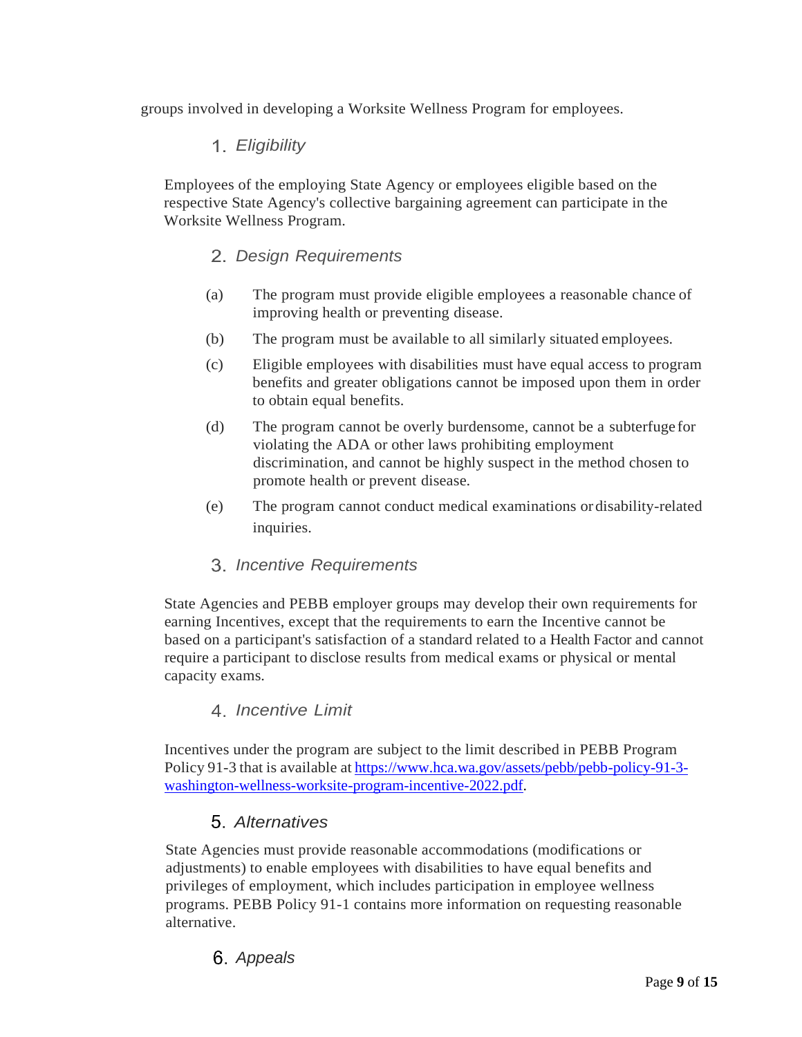<span id="page-8-0"></span>groups involved in developing a Worksite Wellness Program for employees.

### *Eligibility*

<span id="page-8-1"></span>Employees of the employing State Agency or employees eligible based on the respective State Agency's collective bargaining agreement can participate in the Worksite Wellness Program.

#### *Design Requirements*

- (a) The program must provide eligible employees a reasonable chance of improving health or preventing disease.
- (b) The program must be available to all similarly situated employees.
- (c) Eligible employees with disabilities must have equal access to program benefits and greater obligations cannot be imposed upon them in order to obtain equal benefits.
- (d) The program cannot be overly burdensome, cannot be a subterfuge for violating the ADA or other laws prohibiting employment discrimination, and cannot be highly suspect in the method chosen to promote health or prevent disease.
- (e) The program cannot conduct medical examinations ordisability-related inquiries.
- *Incentive Requirements*

<span id="page-8-2"></span>State Agencies and PEBB employer groups may develop their own requirements for earning Incentives, except that the requirements to earn the Incentive cannot be based on a participant's satisfaction of a standard related to a Health Factor and cannot require a participant to disclose results from medical exams or physical or mental capacity exams.

#### *Incentive Limit*

<span id="page-8-3"></span>Incentives under the program are subject to the limit described in PEBB Program Policy 91-3 that is available at [https://www.hca.wa.gov/assets/pebb/pebb-policy-91-3](https://www.hca.wa.gov/assets/pebb/pebb-policy-91-3-washington-wellness-worksite-program-incentive-2022.pdf) [washington-wellness-worksite-program-incentive-2022.pdf.](https://www.hca.wa.gov/assets/pebb/pebb-policy-91-3-washington-wellness-worksite-program-incentive-2022.pdf)

### *Alternatives*

State Agencies must provide reasonable accommodations (modifications or adjustments) to enable employees with disabilities to have equal benefits and privileges of employment, which includes participation in employee wellness programs. PEBB Policy 91-1 contains more information on requesting reasonable alternative.

# *Appeals*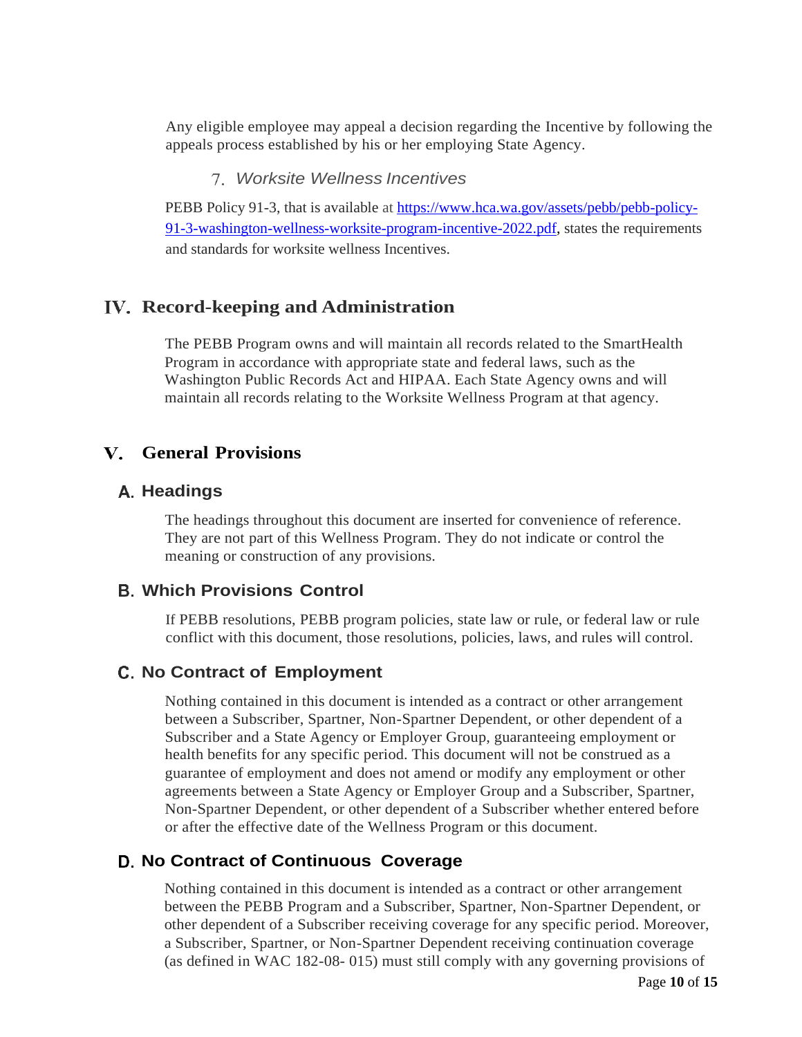Any eligible employee may appeal a decision regarding the Incentive by following the appeals process established by his or her employing State Agency.

#### *Worksite Wellness Incentives*

<span id="page-9-0"></span>PEBB Policy 91-3, that is available at [https://www.hca.wa.gov/assets/pebb/pebb-policy-](https://www.hca.wa.gov/assets/pebb/pebb-policy-91-3-washington-wellness-worksite-program-incentive-2022.pdf)[91-3-washington-wellness-worksite-program-incentive-2022.pdf,](https://www.hca.wa.gov/assets/pebb/pebb-policy-91-3-washington-wellness-worksite-program-incentive-2022.pdf) states the requirements and standards for worksite wellness Incentives.

#### <span id="page-9-1"></span>**Record-keeping and Administration**

The PEBB Program owns and will maintain all records related to the SmartHealth Program in accordance with appropriate state and federal laws, such as the Washington Public Records Act and HIPAA. Each State Agency owns and will maintain all records relating to the Worksite Wellness Program at that agency.

#### <span id="page-9-2"></span>**General Provisions**

#### **Headings**

The headings throughout this document are inserted for convenience of reference. They are not part of this Wellness Program. They do not indicate or control the meaning or construction of any provisions.

#### **Which Provisions Control**

If PEBB resolutions, PEBB program policies, state law or rule, or federal law or rule conflict with this document, those resolutions, policies, laws, and rules will control.

#### **No Contract of Employment**

Nothing contained in this document is intended as a contract or other arrangement between a Subscriber, Spartner, Non-Spartner Dependent, or other dependent of a Subscriber and a State Agency or Employer Group, guaranteeing employment or health benefits for any specific period. This document will not be construed as a guarantee of employment and does not amend or modify any employment or other agreements between a State Agency or Employer Group and a Subscriber, Spartner, Non-Spartner Dependent, or other dependent of a Subscriber whether entered before or after the effective date of the Wellness Program or this document.

#### <span id="page-9-3"></span>**No Contract of Continuous Coverage**

Nothing contained in this document is intended as a contract or other arrangement between the PEBB Program and a Subscriber, Spartner, Non-Spartner Dependent, or other dependent of a Subscriber receiving coverage for any specific period. Moreover, a Subscriber, Spartner, or Non-Spartner Dependent receiving continuation coverage (as defined in WAC 182-08- 015) must still comply with any governing provisions of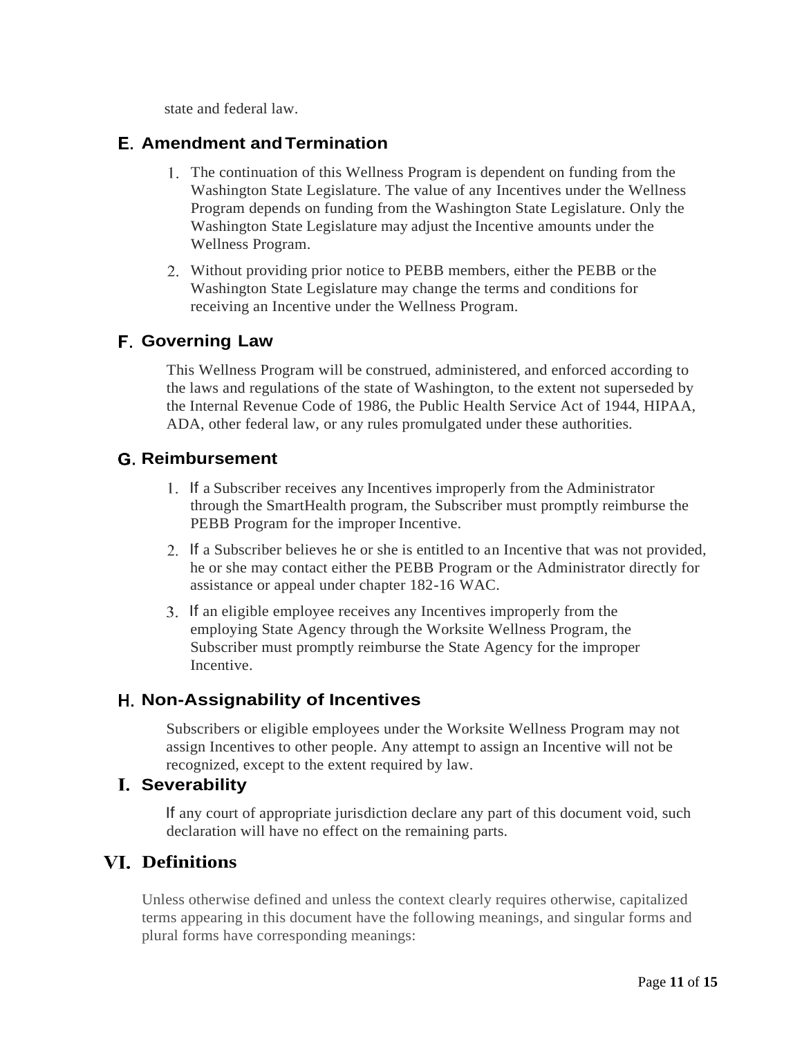state and federal law.

#### <span id="page-10-0"></span>**Amendment andTermination**

- 1. The continuation of this Wellness Program is dependent on funding from the Washington State Legislature. The value of any Incentives under the Wellness Program depends on funding from the Washington State Legislature. Only the Washington State Legislature may adjust the Incentive amounts under the Wellness Program.
- Without providing prior notice to PEBB members, either the PEBB or the Washington State Legislature may change the terms and conditions for receiving an Incentive under the Wellness Program.

### <span id="page-10-1"></span>**Governing Law**

This Wellness Program will be construed, administered, and enforced according to the laws and regulations of the state of Washington, to the extent not superseded by the Internal Revenue Code of 1986, the Public Health Service Act of 1944, HIPAA, ADA, other federal law, or any rules promulgated under these authorities.

### <span id="page-10-2"></span>**Reimbursement**

- If a Subscriber receives any Incentives improperly from the Administrator through the SmartHealth program, the Subscriber must promptly reimburse the PEBB Program for the improper Incentive.
- If a Subscriber believes he or she is entitled to an Incentive that was not provided, he or she may contact either the PEBB Program or the Administrator directly for assistance or appeal under chapter 182-16 WAC.
- If an eligible employee receives any Incentives improperly from the employing State Agency through the Worksite Wellness Program, the Subscriber must promptly reimburse the State Agency for the improper Incentive.

### <span id="page-10-3"></span>**Non-Assignability of Incentives**

Subscribers or eligible employees under the Worksite Wellness Program may not assign Incentives to other people. Any attempt to assign an Incentive will not be recognized, except to the extent required by law.

#### <span id="page-10-4"></span>**Severability**

If any court of appropriate jurisdiction declare any part of this document void, such declaration will have no effect on the remaining parts.

### <span id="page-10-5"></span>**Definitions**

Unless otherwise defined and unless the context clearly requires otherwise, capitalized terms appearing in this document have the following meanings, and singular forms and plural forms have corresponding meanings: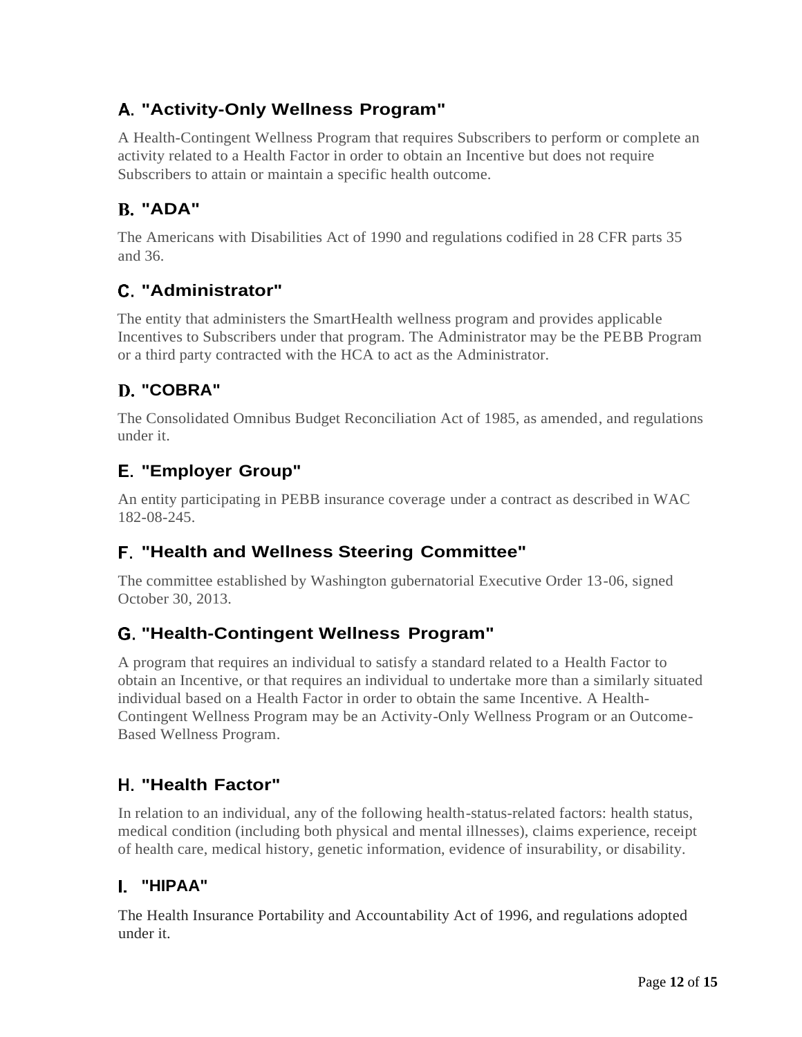# <span id="page-11-0"></span>**"Activity-Only Wellness Program"**

A Health-Contingent Wellness Program that requires Subscribers to perform or complete an activity related to a Health Factor in order to obtain an Incentive but does not require Subscribers to attain or maintain a specific health outcome.

# <span id="page-11-1"></span>**"ADA"**

The Americans with Disabilities Act of 1990 and regulations codified in 28 CFR parts 35 and 36.

# <span id="page-11-2"></span>**"Administrator"**

The entity that administers the SmartHealth wellness program and provides applicable Incentives to Subscribers under that program. The Administrator may be the PEBB Program or a third party contracted with the HCA to act as the Administrator.

# <span id="page-11-3"></span>**"COBRA"**

The Consolidated Omnibus Budget Reconciliation Act of 1985, as amended, and regulations under it.

# <span id="page-11-4"></span>**"Employer Group"**

An entity participating in PEBB insurance coverage under a contract as described in WAC 182-08-245.

# <span id="page-11-5"></span>**"Health and Wellness Steering Committee"**

The committee established by Washington gubernatorial Executive Order 13-06, signed October 30, 2013.

### <span id="page-11-6"></span>**"Health-Contingent Wellness Program"**

A program that requires an individual to satisfy a standard related to a Health Factor to obtain an Incentive, or that requires an individual to undertake more than a similarly situated individual based on a Health Factor in order to obtain the same Incentive. A Health-Contingent Wellness Program may be an Activity-Only Wellness Program or an Outcome-Based Wellness Program.

# <span id="page-11-7"></span>**"Health Factor"**

In relation to an individual, any of the following health-status-related factors: health status, medical condition (including both physical and mental illnesses), claims experience, receipt of health care, medical history, genetic information, evidence of insurability, or disability.

# <span id="page-11-8"></span>**"HIPAA"**

The Health Insurance Portability and Accountability Act of 1996, and regulations adopted under it.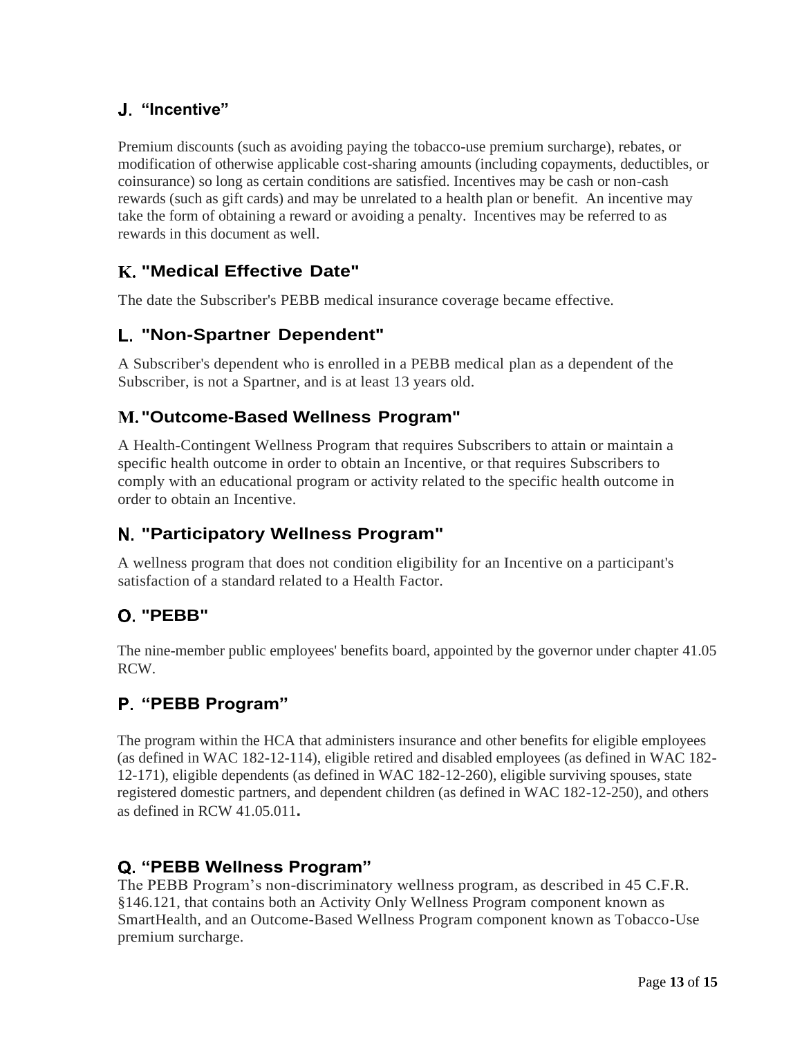### <span id="page-12-0"></span>**"Incentive"**

Premium discounts (such as avoiding paying the tobacco-use premium surcharge), rebates, or modification of otherwise applicable cost-sharing amounts (including copayments, deductibles, or coinsurance) so long as certain conditions are satisfied. Incentives may be cash or non-cash rewards (such as gift cards) and may be unrelated to a health plan or benefit. An incentive may take the form of obtaining a reward or avoiding a penalty. Incentives may be referred to as rewards in this document as well.

### <span id="page-12-1"></span>**"Medical Effective Date"**

The date the Subscriber's PEBB medical insurance coverage became effective.

## <span id="page-12-2"></span>**"Non-Spartner Dependent"**

A Subscriber's dependent who is enrolled in a PEBB medical plan as a dependent of the Subscriber, is not a Spartner, and is at least 13 years old.

### <span id="page-12-3"></span>**"Outcome-Based Wellness Program"**

A Health-Contingent Wellness Program that requires Subscribers to attain or maintain a specific health outcome in order to obtain an Incentive, or that requires Subscribers to comply with an educational program or activity related to the specific health outcome in order to obtain an Incentive.

# <span id="page-12-4"></span>**"Participatory Wellness Program"**

A wellness program that does not condition eligibility for an Incentive on a participant's satisfaction of a standard related to a Health Factor.

# <span id="page-12-5"></span>**"PEBB"**

The nine-member public employees' benefits board, appointed by the governor under chapter 41.05 RCW.

### <span id="page-12-6"></span>**"PEBB Program"**

The program within the HCA that administers insurance and other benefits for eligible employees (as defined in WAC 182-12-114), eligible retired and disabled employees (as defined in WAC 182- 12-171), eligible dependents (as defined in WAC 182-12-260), eligible surviving spouses, state registered domestic partners, and dependent children (as defined in WAC 182-12-250), and others as defined in RCW 41.05.011**.**

### <span id="page-12-7"></span>**"PEBB Wellness Program"**

The PEBB Program's non-discriminatory wellness program, as described in 45 C.F.R. §146.121, that contains both an Activity Only Wellness Program component known as SmartHealth, and an Outcome-Based Wellness Program component known as Tobacco-Use premium surcharge.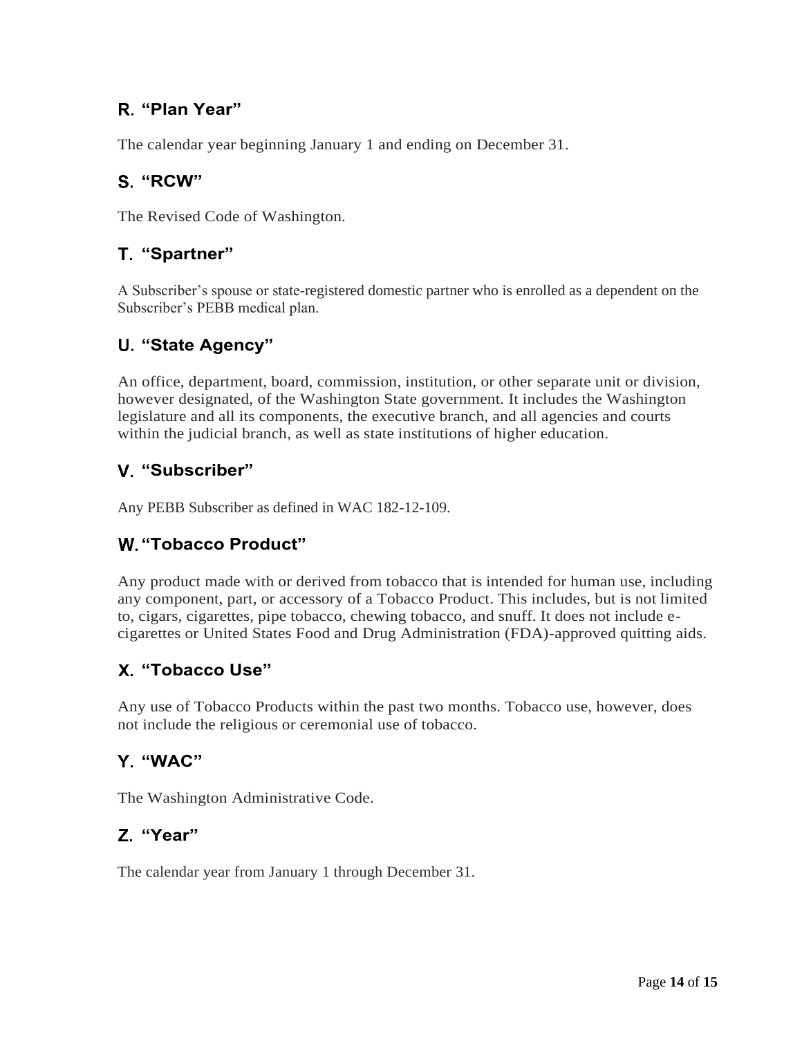## <span id="page-13-0"></span>**"Plan Year"**

The calendar year beginning January 1 and ending on December 31.

### <span id="page-13-1"></span>**"RCW"**

The Revised Code of Washington.

### <span id="page-13-2"></span>**"Spartner"**

A Subscriber's spouse or state-registered domestic partner who is enrolled as a dependent on the Subscriber's PEBB medical plan.

### <span id="page-13-3"></span>**"State Agency"**

An office, department, board, commission, institution, or other separate unit or division, however designated, of the Washington State government. It includes the Washington legislature and all its components, the executive branch, and all agencies and courts within the judicial branch, as well as state institutions of higher education.

## <span id="page-13-4"></span>**"Subscriber"**

Any PEBB Subscriber as defined in WAC 182-12-109.

### <span id="page-13-5"></span>**"Tobacco Product"**

Any product made with or derived from tobacco that is intended for human use, including any component, part, or accessory of a Tobacco Product. This includes, but is not limited to, cigars, cigarettes, pipe tobacco, chewing tobacco, and snuff. It does not include ecigarettes or United States Food and Drug Administration (FDA)-approved quitting aids.

### <span id="page-13-6"></span>**"Tobacco Use"**

Any use of Tobacco Products within the past two months. Tobacco use, however, does not include the religious or ceremonial use of tobacco.

### <span id="page-13-7"></span>**"WAC"**

The Washington Administrative Code.

### <span id="page-13-8"></span>**"Year"**

The calendar year from January 1 through December 31.